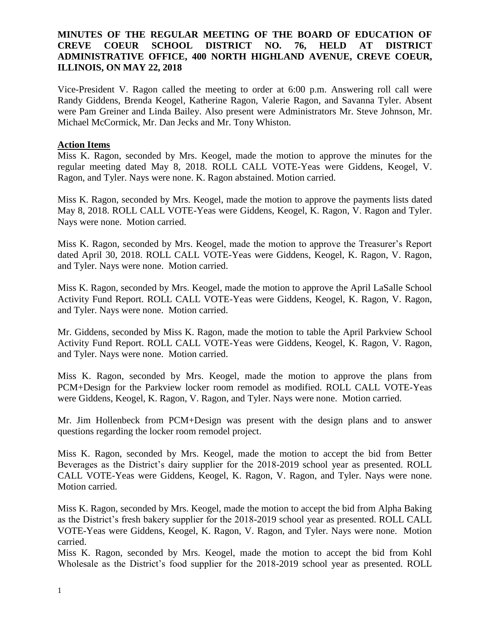## **MINUTES OF THE REGULAR MEETING OF THE BOARD OF EDUCATION OF CREVE COEUR SCHOOL DISTRICT NO. 76, HELD AT DISTRICT ADMINISTRATIVE OFFICE, 400 NORTH HIGHLAND AVENUE, CREVE COEUR, ILLINOIS, ON MAY 22, 2018**

Vice-President V. Ragon called the meeting to order at 6:00 p.m. Answering roll call were Randy Giddens, Brenda Keogel, Katherine Ragon, Valerie Ragon, and Savanna Tyler. Absent were Pam Greiner and Linda Bailey. Also present were Administrators Mr. Steve Johnson, Mr. Michael McCormick, Mr. Dan Jecks and Mr. Tony Whiston.

# **Action Items**

Miss K. Ragon, seconded by Mrs. Keogel, made the motion to approve the minutes for the regular meeting dated May 8, 2018. ROLL CALL VOTE-Yeas were Giddens, Keogel, V. Ragon, and Tyler. Nays were none. K. Ragon abstained. Motion carried.

Miss K. Ragon, seconded by Mrs. Keogel, made the motion to approve the payments lists dated May 8, 2018. ROLL CALL VOTE-Yeas were Giddens, Keogel, K. Ragon, V. Ragon and Tyler. Nays were none. Motion carried.

Miss K. Ragon, seconded by Mrs. Keogel, made the motion to approve the Treasurer's Report dated April 30, 2018. ROLL CALL VOTE-Yeas were Giddens, Keogel, K. Ragon, V. Ragon, and Tyler. Nays were none. Motion carried.

Miss K. Ragon, seconded by Mrs. Keogel, made the motion to approve the April LaSalle School Activity Fund Report. ROLL CALL VOTE-Yeas were Giddens, Keogel, K. Ragon, V. Ragon, and Tyler. Nays were none. Motion carried.

Mr. Giddens, seconded by Miss K. Ragon, made the motion to table the April Parkview School Activity Fund Report. ROLL CALL VOTE-Yeas were Giddens, Keogel, K. Ragon, V. Ragon, and Tyler. Nays were none. Motion carried.

Miss K. Ragon, seconded by Mrs. Keogel, made the motion to approve the plans from PCM+Design for the Parkview locker room remodel as modified. ROLL CALL VOTE-Yeas were Giddens, Keogel, K. Ragon, V. Ragon, and Tyler. Nays were none. Motion carried.

Mr. Jim Hollenbeck from PCM+Design was present with the design plans and to answer questions regarding the locker room remodel project.

Miss K. Ragon, seconded by Mrs. Keogel, made the motion to accept the bid from Better Beverages as the District's dairy supplier for the 2018-2019 school year as presented. ROLL CALL VOTE-Yeas were Giddens, Keogel, K. Ragon, V. Ragon, and Tyler. Nays were none. Motion carried.

Miss K. Ragon, seconded by Mrs. Keogel, made the motion to accept the bid from Alpha Baking as the District's fresh bakery supplier for the 2018-2019 school year as presented. ROLL CALL VOTE-Yeas were Giddens, Keogel, K. Ragon, V. Ragon, and Tyler. Nays were none. Motion carried.

Miss K. Ragon, seconded by Mrs. Keogel, made the motion to accept the bid from Kohl Wholesale as the District's food supplier for the 2018-2019 school year as presented. ROLL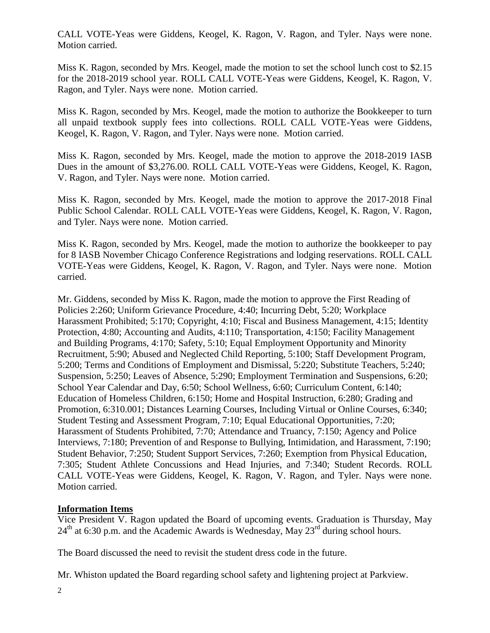CALL VOTE-Yeas were Giddens, Keogel, K. Ragon, V. Ragon, and Tyler. Nays were none. Motion carried.

Miss K. Ragon, seconded by Mrs. Keogel, made the motion to set the school lunch cost to \$2.15 for the 2018-2019 school year. ROLL CALL VOTE-Yeas were Giddens, Keogel, K. Ragon, V. Ragon, and Tyler. Nays were none. Motion carried.

Miss K. Ragon, seconded by Mrs. Keogel, made the motion to authorize the Bookkeeper to turn all unpaid textbook supply fees into collections. ROLL CALL VOTE-Yeas were Giddens, Keogel, K. Ragon, V. Ragon, and Tyler. Nays were none. Motion carried.

Miss K. Ragon, seconded by Mrs. Keogel, made the motion to approve the 2018-2019 IASB Dues in the amount of \$3,276.00. ROLL CALL VOTE-Yeas were Giddens, Keogel, K. Ragon, V. Ragon, and Tyler. Nays were none. Motion carried.

Miss K. Ragon, seconded by Mrs. Keogel, made the motion to approve the 2017-2018 Final Public School Calendar. ROLL CALL VOTE-Yeas were Giddens, Keogel, K. Ragon, V. Ragon, and Tyler. Nays were none. Motion carried.

Miss K. Ragon, seconded by Mrs. Keogel, made the motion to authorize the bookkeeper to pay for 8 IASB November Chicago Conference Registrations and lodging reservations. ROLL CALL VOTE-Yeas were Giddens, Keogel, K. Ragon, V. Ragon, and Tyler. Nays were none. Motion carried.

Mr. Giddens, seconded by Miss K. Ragon, made the motion to approve the First Reading of Policies 2:260; Uniform Grievance Procedure, 4:40; Incurring Debt, 5:20; Workplace Harassment Prohibited; 5:170; Copyright, 4:10; Fiscal and Business Management, 4:15; Identity Protection, 4:80; Accounting and Audits, 4:110; Transportation, 4:150; Facility Management and Building Programs, 4:170; Safety, 5:10; Equal Employment Opportunity and Minority Recruitment, 5:90; Abused and Neglected Child Reporting, 5:100; Staff Development Program, 5:200; Terms and Conditions of Employment and Dismissal, 5:220; Substitute Teachers, 5:240; Suspension, 5:250; Leaves of Absence, 5:290; Employment Termination and Suspensions, 6:20; School Year Calendar and Day, 6:50; School Wellness, 6:60; Curriculum Content, 6:140; Education of Homeless Children, 6:150; Home and Hospital Instruction, 6:280; Grading and Promotion, 6:310.001; Distances Learning Courses, Including Virtual or Online Courses, 6:340; Student Testing and Assessment Program, 7:10; Equal Educational Opportunities, 7:20; Harassment of Students Prohibited, 7:70; Attendance and Truancy, 7:150; Agency and Police Interviews, 7:180; Prevention of and Response to Bullying, Intimidation, and Harassment, 7:190; Student Behavior, 7:250; Student Support Services, 7:260; Exemption from Physical Education, 7:305; Student Athlete Concussions and Head Injuries, and 7:340; Student Records. ROLL CALL VOTE-Yeas were Giddens, Keogel, K. Ragon, V. Ragon, and Tyler. Nays were none. Motion carried.

# **Information Items**

Vice President V. Ragon updated the Board of upcoming events. Graduation is Thursday, May 24<sup>th</sup> at 6:30 p.m. and the Academic Awards is Wednesday, May 23<sup>rd</sup> during school hours.

The Board discussed the need to revisit the student dress code in the future.

Mr. Whiston updated the Board regarding school safety and lightening project at Parkview.